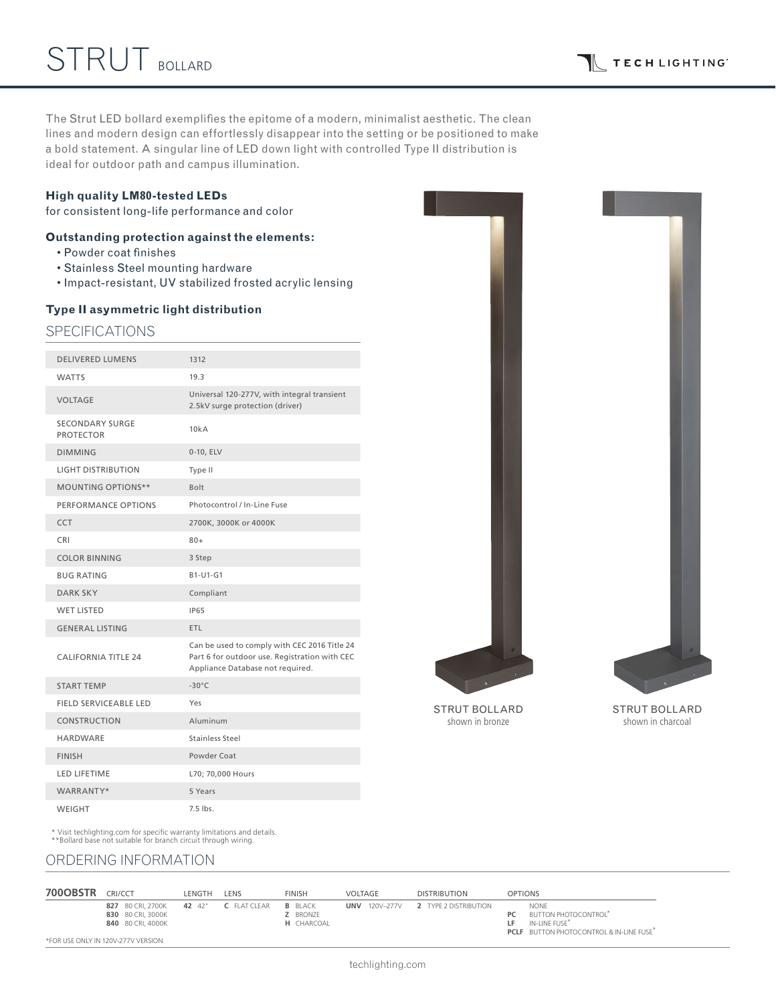The Strut LED bollard exemplifies the epitome of a modern, minimalist aesthetic. The clean lines and modern design can effortlessly disappear into the setting or be positioned to make a bold statement. A singular line of LED down light with controlled Type II distribution is ideal for outdoor path and campus illumination.

#### **High quality LM80-tested LEDs**

for consistent long-life performance and color

## **Outstanding protection against the elements:**

- Powder coat finishes
- Stainless Steel mounting hardware
- Impact-resistant, UV stabilized frosted acrylic lensing

#### **Type II asymmetric light distribution**

### SPECIFICATIONS

| <b>DELIVERED LUMENS</b>                    | 1312                                                                                                                              |
|--------------------------------------------|-----------------------------------------------------------------------------------------------------------------------------------|
| <b>WATTS</b>                               | 19.3                                                                                                                              |
| <b>VOLTAGE</b>                             | Universal 120-277V, with integral transient<br>2.5kV surge protection (driver)                                                    |
| <b>SECONDARY SURGE</b><br><b>PROTECTOR</b> | 10kA                                                                                                                              |
| <b>DIMMING</b>                             | 0-10, ELV                                                                                                                         |
| <b>LIGHT DISTRIBUTION</b>                  | Type II                                                                                                                           |
| <b>MOUNTING OPTIONS**</b>                  | Bolt                                                                                                                              |
| PERFORMANCE OPTIONS                        | Photocontrol / In-Line Fuse                                                                                                       |
| <b>CCT</b>                                 | 2700K, 3000K or 4000K                                                                                                             |
| <b>CRI</b>                                 | $80+$                                                                                                                             |
| <b>COLOR BINNING</b>                       | 3 Step                                                                                                                            |
| <b>BUG RATING</b>                          | B1-U1-G1                                                                                                                          |
| <b>DARK SKY</b>                            | Compliant                                                                                                                         |
| <b>WET LISTED</b>                          | <b>IP65</b>                                                                                                                       |
| <b>GENERAL LISTING</b>                     | <b>ETL</b>                                                                                                                        |
| <b>CALIFORNIA TITLE 24</b>                 | Can be used to comply with CEC 2016 Title 24<br>Part 6 for outdoor use. Registration with CEC<br>Appliance Database not required. |
| <b>START TEMP</b>                          | $-30^{\circ}$ C                                                                                                                   |
| <b>FIELD SERVICEABLE LED</b>               | Yes                                                                                                                               |
| <b>CONSTRUCTION</b>                        | Aluminum                                                                                                                          |
| <b>HARDWARE</b>                            | Stainless Steel                                                                                                                   |
| <b>FINISH</b>                              | Powder Coat                                                                                                                       |
| <b>LED LIFETIME</b>                        | L70; 70,000 Hours                                                                                                                 |
| WARRANTY*                                  | 5 Years                                                                                                                           |
| <b>WEIGHT</b>                              | 7.5 lbs.                                                                                                                          |



STRUT BOLLARD shown in bronze

STRUT BOLLARD shown in charcoal

\* Visit techlighting.com for specific warranty limitations and details. \*\*Bollard base not suitable for branch circuit through wiring.

# ORDERING INFORMATION

| <b>700OBSTR</b> | CRI/CCT                                                     | LENGTH | LENS                | <b>FINISH</b>                                   | VOLTAGE              | <b>DISTRIBUTION</b>   | <b>OPTIONS</b>                                                                                                                                      |
|-----------------|-------------------------------------------------------------|--------|---------------------|-------------------------------------------------|----------------------|-----------------------|-----------------------------------------------------------------------------------------------------------------------------------------------------|
|                 | 827 80 CRI. 2700K<br>830 80 CRI, 3000K<br>840 80 CRI, 4000K | 42 42" | <b>C</b> FLAT CLEAR | <b>B</b> BLACK<br>Z BRONZE<br><b>H</b> CHARCOAL | <b>UNV</b> 120V-277V | 2 TYPE 2 DISTRIBUTION | <b>NONE</b><br><b>BUTTON PHOTOCONTROL</b><br>PC<br>IN-LINE FUSE <sup>*</sup><br>I F.<br><b>PCLF</b> BUTTON PHOTOCONTROL & IN-LINE FUSE <sup>*</sup> |
|                 | *FOR USE ONLY IN 120V-277V VERSION.                         |        |                     |                                                 |                      |                       |                                                                                                                                                     |